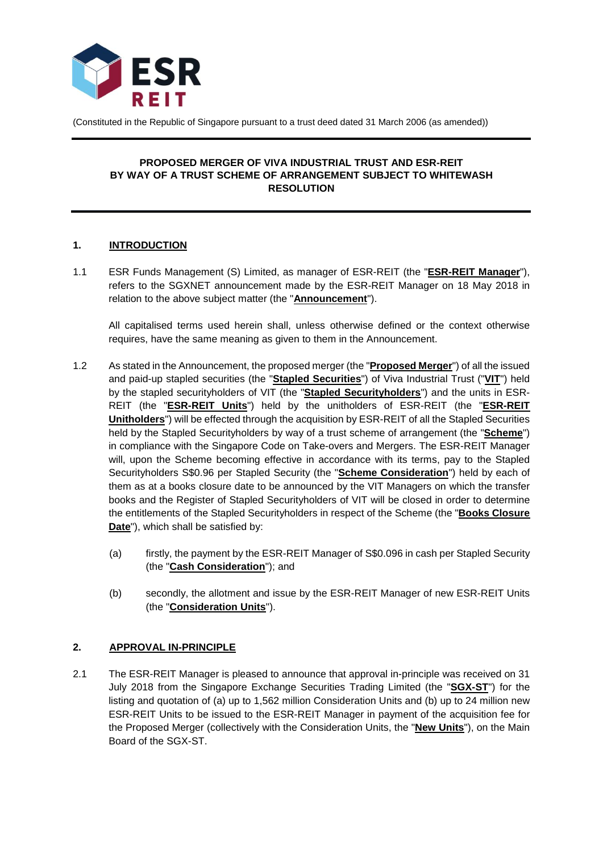

(Constituted in the Republic of Singapore pursuant to a trust deed dated 31 March 2006 (as amended))

## **PROPOSED MERGER OF VIVA INDUSTRIAL TRUST AND ESR-REIT BY WAY OF A TRUST SCHEME OF ARRANGEMENT SUBJECT TO WHITEWASH RESOLUTION**

### **1. INTRODUCTION**

1.1 ESR Funds Management (S) Limited, as manager of ESR-REIT (the "**ESR-REIT Manager**"), refers to the SGXNET announcement made by the ESR-REIT Manager on 18 May 2018 in relation to the above subject matter (the "**Announcement**").

All capitalised terms used herein shall, unless otherwise defined or the context otherwise requires, have the same meaning as given to them in the Announcement.

- 1.2 As stated in the Announcement, the proposed merger (the "**Proposed Merger**") of all the issued and paid-up stapled securities (the "**Stapled Securities**") of Viva Industrial Trust ("**VIT**") held by the stapled securityholders of VIT (the "**Stapled Securityholders**") and the units in ESR-REIT (the "**ESR-REIT Units**") held by the unitholders of ESR-REIT (the "**ESR-REIT Unitholders**") will be effected through the acquisition by ESR-REIT of all the Stapled Securities held by the Stapled Securityholders by way of a trust scheme of arrangement (the "**Scheme**") in compliance with the Singapore Code on Take-overs and Mergers. The ESR-REIT Manager will, upon the Scheme becoming effective in accordance with its terms, pay to the Stapled Securityholders S\$0.96 per Stapled Security (the "**Scheme Consideration**") held by each of them as at a books closure date to be announced by the VIT Managers on which the transfer books and the Register of Stapled Securityholders of VIT will be closed in order to determine the entitlements of the Stapled Securityholders in respect of the Scheme (the "**Books Closure Date**"), which shall be satisfied by:
	- (a) firstly, the payment by the ESR-REIT Manager of S\$0.096 in cash per Stapled Security (the "**Cash Consideration**"); and
	- (b) secondly, the allotment and issue by the ESR-REIT Manager of new ESR-REIT Units (the "**Consideration Units**").

# **2. APPROVAL IN-PRINCIPLE**

2.1 The ESR-REIT Manager is pleased to announce that approval in-principle was received on 31 July 2018 from the Singapore Exchange Securities Trading Limited (the "**SGX-ST**") for the listing and quotation of (a) up to 1,562 million Consideration Units and (b) up to 24 million new ESR-REIT Units to be issued to the ESR-REIT Manager in payment of the acquisition fee for the Proposed Merger (collectively with the Consideration Units, the "**New Units**"), on the Main Board of the SGX-ST.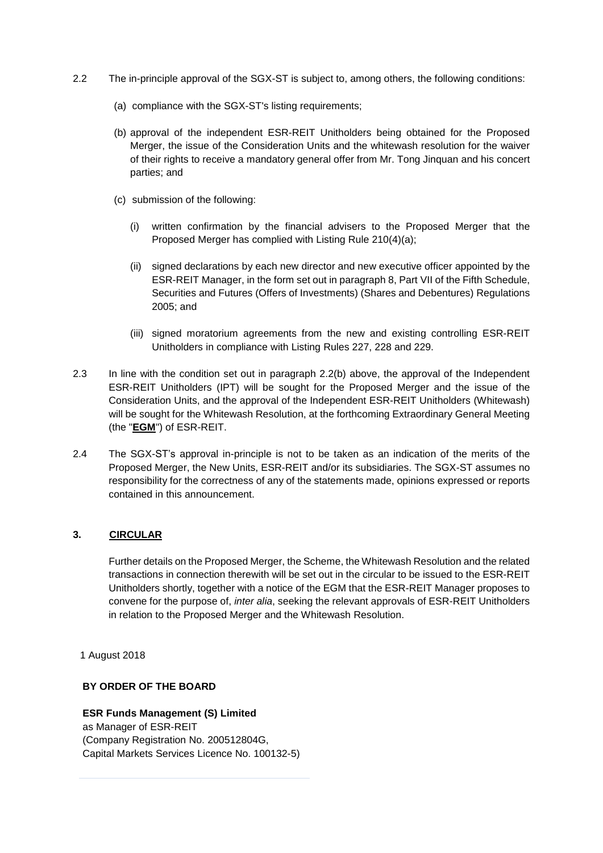- 2.2 The in-principle approval of the SGX-ST is subject to, among others, the following conditions:
	- (a) compliance with the SGX-ST's listing requirements;
	- (b) approval of the independent ESR-REIT Unitholders being obtained for the Proposed Merger, the issue of the Consideration Units and the whitewash resolution for the waiver of their rights to receive a mandatory general offer from Mr. Tong Jinquan and his concert parties; and
	- (c) submission of the following:
		- (i) written confirmation by the financial advisers to the Proposed Merger that the Proposed Merger has complied with Listing Rule 210(4)(a);
		- (ii) signed declarations by each new director and new executive officer appointed by the ESR-REIT Manager, in the form set out in paragraph 8, Part VII of the Fifth Schedule, Securities and Futures (Offers of Investments) (Shares and Debentures) Regulations 2005; and
		- (iii) signed moratorium agreements from the new and existing controlling ESR-REIT Unitholders in compliance with Listing Rules 227, 228 and 229.
- 2.3 In line with the condition set out in paragraph 2.2(b) above, the approval of the Independent ESR-REIT Unitholders (IPT) will be sought for the Proposed Merger and the issue of the Consideration Units, and the approval of the Independent ESR-REIT Unitholders (Whitewash) will be sought for the Whitewash Resolution, at the forthcoming Extraordinary General Meeting (the "**EGM**") of ESR-REIT.
- 2.4 The SGX-ST's approval in-principle is not to be taken as an indication of the merits of the Proposed Merger, the New Units, ESR-REIT and/or its subsidiaries. The SGX-ST assumes no responsibility for the correctness of any of the statements made, opinions expressed or reports contained in this announcement.

### **3. CIRCULAR**

Further details on the Proposed Merger, the Scheme, the Whitewash Resolution and the related transactions in connection therewith will be set out in the circular to be issued to the ESR-REIT Unitholders shortly, together with a notice of the EGM that the ESR-REIT Manager proposes to convene for the purpose of, *inter alia*, seeking the relevant approvals of ESR-REIT Unitholders in relation to the Proposed Merger and the Whitewash Resolution.

1 August 2018

### **BY ORDER OF THE BOARD**

# **ESR Funds Management (S) Limited**

as Manager of ESR-REIT (Company Registration No. 200512804G, Capital Markets Services Licence No. 100132-5)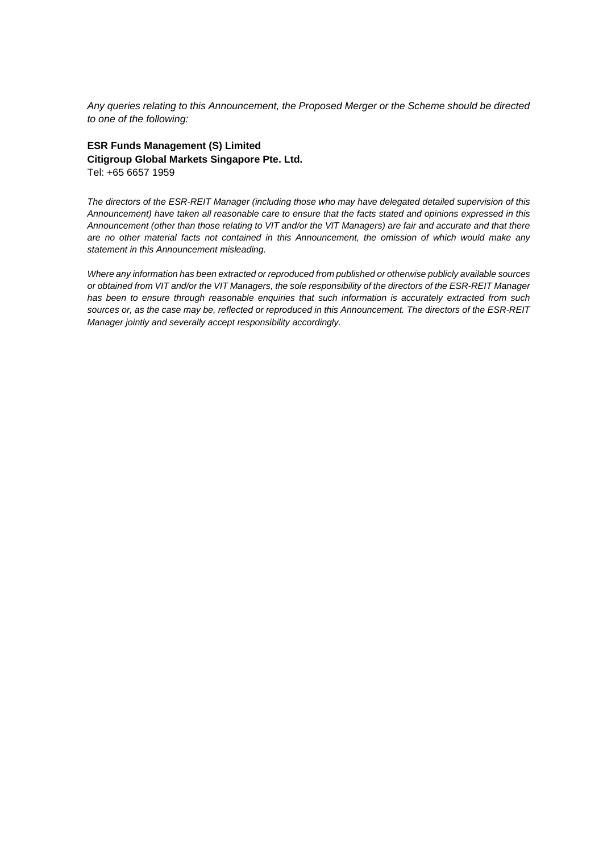*Any queries relating to this Announcement, the Proposed Merger or the Scheme should be directed to one of the following:*

### **ESR Funds Management (S) Limited Citigroup Global Markets Singapore Pte. Ltd.** Tel: +65 6657 1959

*The directors of the ESR-REIT Manager (including those who may have delegated detailed supervision of this* Announcement) have taken all reasonable care to ensure that the facts stated and opinions expressed in this Announcement (other than those relating to VIT and/or the VIT Managers) are fair and accurate and that there *are no other material facts not contained in this Announcement, the omission of which would make any statement in this Announcement misleading.*

*Where any information has been extracted or reproduced from published or otherwise publicly available sources* or obtained from VIT and/or the VIT Managers, the sole responsibility of the directors of the ESR-REIT Manager *has been to ensure through reasonable enquiries that such information is accurately extracted from such* sources or, as the case may be, reflected or reproduced in this Announcement. The directors of the ESR-REIT *Manager jointly and severally accept responsibility accordingly.*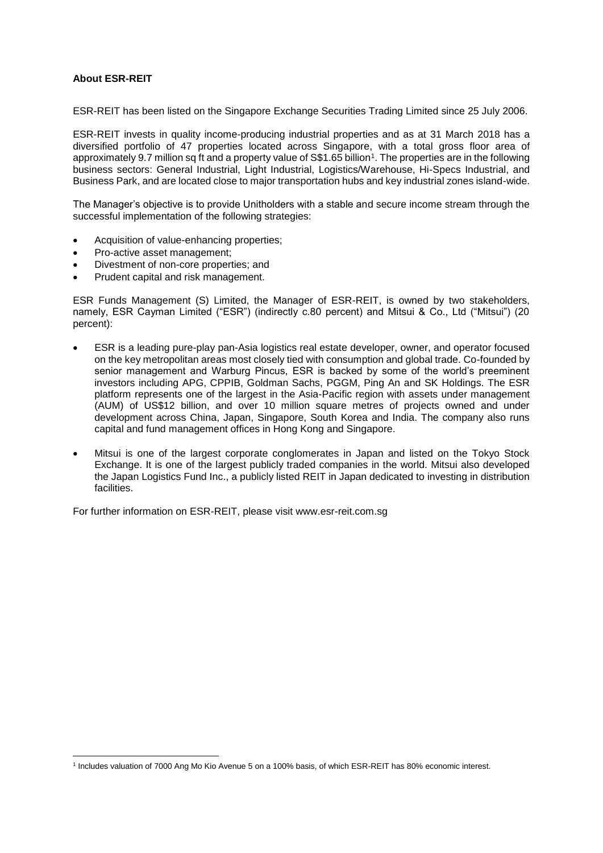### **About ESR-REIT**

**.** 

ESR-REIT has been listed on the Singapore Exchange Securities Trading Limited since 25 July 2006.

ESR-REIT invests in quality income-producing industrial properties and as at 31 March 2018 has a diversified portfolio of 47 properties located across Singapore, with a total gross floor area of approximately 9.7 million sq ft and a property value of S\$1.65 billion<sup>1</sup>. The properties are in the following business sectors: General Industrial, Light Industrial, Logistics/Warehouse, Hi-Specs Industrial, and Business Park, and are located close to major transportation hubs and key industrial zones island-wide.

The Manager's objective is to provide Unitholders with a stable and secure income stream through the successful implementation of the following strategies:

- Acquisition of value-enhancing properties;
- Pro-active asset management;
- Divestment of non-core properties; and
- Prudent capital and risk management.

ESR Funds Management (S) Limited, the Manager of ESR-REIT, is owned by two stakeholders, namely, ESR Cayman Limited ("ESR") (indirectly c.80 percent) and Mitsui & Co., Ltd ("Mitsui") (20 percent):

- ESR is a leading pure-play pan-Asia logistics real estate developer, owner, and operator focused on the key metropolitan areas most closely tied with consumption and global trade. Co-founded by senior management and Warburg Pincus, ESR is backed by some of the world's preeminent investors including APG, CPPIB, Goldman Sachs, PGGM, Ping An and SK Holdings. The ESR platform represents one of the largest in the Asia-Pacific region with assets under management (AUM) of US\$12 billion, and over 10 million square metres of projects owned and under development across China, Japan, Singapore, South Korea and India. The company also runs capital and fund management offices in Hong Kong and Singapore.
- Mitsui is one of the largest corporate conglomerates in Japan and listed on the Tokyo Stock Exchange. It is one of the largest publicly traded companies in the world. Mitsui also developed the Japan Logistics Fund Inc., a publicly listed REIT in Japan dedicated to investing in distribution facilities.

For further information on ESR-REIT, please visit www.esr-reit.com.sg

<sup>1</sup> Includes valuation of 7000 Ang Mo Kio Avenue 5 on a 100% basis, of which ESR-REIT has 80% economic interest.